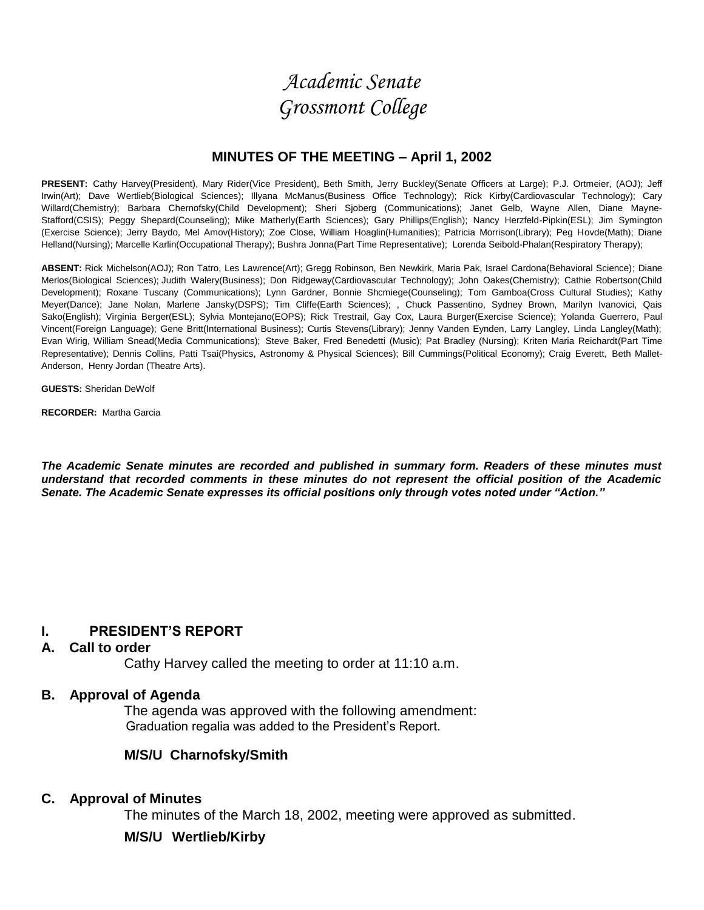*Academic Senate Grossmont College*

## **MINUTES OF THE MEETING – April 1, 2002**

PRESENT: Cathy Harvey(President), Mary Rider(Vice President), Beth Smith, Jerry Buckley(Senate Officers at Large); P.J. Ortmeier, (AOJ); Jeff Irwin(Art); Dave Wertlieb(Biological Sciences); Illyana McManus(Business Office Technology); Rick Kirby(Cardiovascular Technology); Cary Willard(Chemistry); Barbara Chernofsky(Child Development); Sheri Sjoberg (Communications); Janet Gelb, Wayne Allen, Diane Mayne-Stafford(CSIS); Peggy Shepard(Counseling); Mike Matherly(Earth Sciences); Gary Phillips(English); Nancy Herzfeld-Pipkin(ESL); Jim Symington (Exercise Science); Jerry Baydo, Mel Amov(History); Zoe Close, William Hoaglin(Humanities); Patricia Morrison(Library); Peg Hovde(Math); Diane Helland(Nursing); Marcelle Karlin(Occupational Therapy); Bushra Jonna(Part Time Representative); Lorenda Seibold-Phalan(Respiratory Therapy);

**ABSENT:** Rick Michelson(AOJ); Ron Tatro, Les Lawrence(Art); Gregg Robinson, Ben Newkirk, Maria Pak, Israel Cardona(Behavioral Science); Diane Merlos(Biological Sciences); Judith Walery(Business); Don Ridgeway(Cardiovascular Technology); John Oakes(Chemistry); Cathie Robertson(Child Development); Roxane Tuscany (Communications); Lynn Gardner, Bonnie Shcmiege(Counseling); Tom Gamboa(Cross Cultural Studies); Kathy Meyer(Dance); Jane Nolan, Marlene Jansky(DSPS); Tim Cliffe(Earth Sciences); , Chuck Passentino, Sydney Brown, Marilyn Ivanovici, Qais Sako(English); Virginia Berger(ESL); Sylvia Montejano(EOPS); Rick Trestrail, Gay Cox, Laura Burger(Exercise Science); Yolanda Guerrero, Paul Vincent(Foreign Language); Gene Britt(International Business); Curtis Stevens(Library); Jenny Vanden Eynden, Larry Langley, Linda Langley(Math); Evan Wirig, William Snead(Media Communications); Steve Baker, Fred Benedetti (Music); Pat Bradley (Nursing); Kriten Maria Reichardt(Part Time Representative); Dennis Collins, Patti Tsai(Physics, Astronomy & Physical Sciences); Bill Cummings(Political Economy); Craig Everett, Beth Mallet-Anderson, Henry Jordan (Theatre Arts).

**GUESTS:** Sheridan DeWolf

**RECORDER:** Martha Garcia

*The Academic Senate minutes are recorded and published in summary form. Readers of these minutes must understand that recorded comments in these minutes do not represent the official position of the Academic Senate. The Academic Senate expresses its official positions only through votes noted under "Action."*

## **I. PRESIDENT'S REPORT**

## **A. Call to order**

Cathy Harvey called the meeting to order at 11:10 a.m.

### **B. Approval of Agenda**

The agenda was approved with the following amendment: Graduation regalia was added to the President's Report.

### **M/S/U Charnofsky/Smith**

### **C. Approval of Minutes**

The minutes of the March 18, 2002, meeting were approved as submitted.

### **M/S/U Wertlieb/Kirby**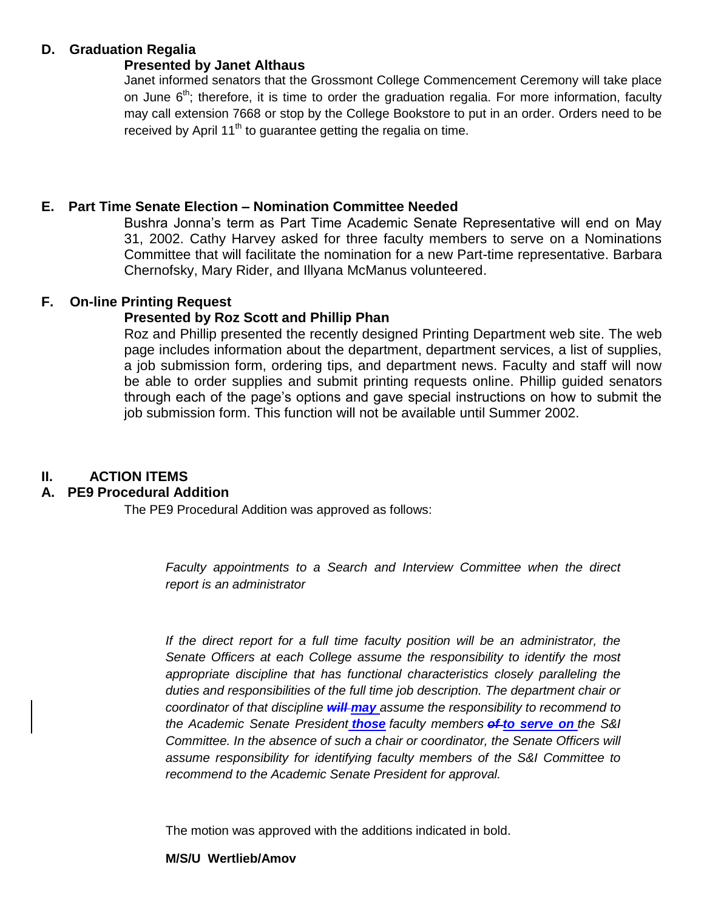# **D. Graduation Regalia**

# **Presented by Janet Althaus**

Janet informed senators that the Grossmont College Commencement Ceremony will take place on June  $6<sup>th</sup>$ ; therefore, it is time to order the graduation regalia. For more information, faculty may call extension 7668 or stop by the College Bookstore to put in an order. Orders need to be received by April  $11<sup>th</sup>$  to guarantee getting the regalia on time.

# **E. Part Time Senate Election – Nomination Committee Needed**

Bushra Jonna's term as Part Time Academic Senate Representative will end on May 31, 2002. Cathy Harvey asked for three faculty members to serve on a Nominations Committee that will facilitate the nomination for a new Part-time representative. Barbara Chernofsky, Mary Rider, and Illyana McManus volunteered.

# **F. On-line Printing Request**

# **Presented by Roz Scott and Phillip Phan**

Roz and Phillip presented the recently designed Printing Department web site. The web page includes information about the department, department services, a list of supplies, a job submission form, ordering tips, and department news. Faculty and staff will now be able to order supplies and submit printing requests online. Phillip guided senators through each of the page's options and gave special instructions on how to submit the job submission form. This function will not be available until Summer 2002.

# **II. ACTION ITEMS**

# **A. PE9 Procedural Addition**

The PE9 Procedural Addition was approved as follows:

*Faculty appointments to a Search and Interview Committee when the direct report is an administrator*

If the direct report for a full time faculty position will be an administrator, the *Senate Officers at each College assume the responsibility to identify the most appropriate discipline that has functional characteristics closely paralleling the duties and responsibilities of the full time job description. The department chair or coordinator of that discipline will may assume the responsibility to recommend to the Academic Senate President those faculty members of to serve on the S&I Committee. In the absence of such a chair or coordinator, the Senate Officers will assume responsibility for identifying faculty members of the S&I Committee to recommend to the Academic Senate President for approval.*

The motion was approved with the additions indicated in bold.

## **M/S/U Wertlieb/Amov**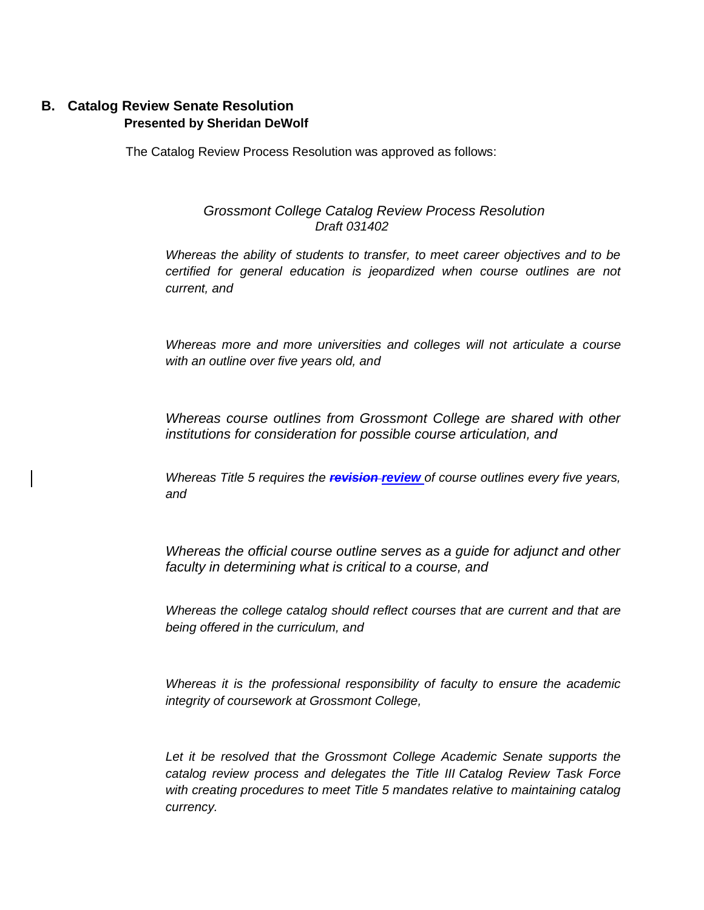# **B. Catalog Review Senate Resolution Presented by Sheridan DeWolf**

The Catalog Review Process Resolution was approved as follows:

## *Grossmont College Catalog Review Process Resolution Draft 031402*

*Whereas the ability of students to transfer, to meet career objectives and to be certified for general education is jeopardized when course outlines are not current, and*

*Whereas more and more universities and colleges will not articulate a course with an outline over five years old, and*

*Whereas course outlines from Grossmont College are shared with other institutions for consideration for possible course articulation, and*

*Whereas Title 5 requires the revision review of course outlines every five years, and*

*Whereas the official course outline serves as a guide for adjunct and other faculty in determining what is critical to a course, and*

*Whereas the college catalog should reflect courses that are current and that are being offered in the curriculum, and*

*Whereas it is the professional responsibility of faculty to ensure the academic integrity of coursework at Grossmont College,*

Let it be resolved that the Grossmont College Academic Senate supports the *catalog review process and delegates the Title III Catalog Review Task Force with creating procedures to meet Title 5 mandates relative to maintaining catalog currency.*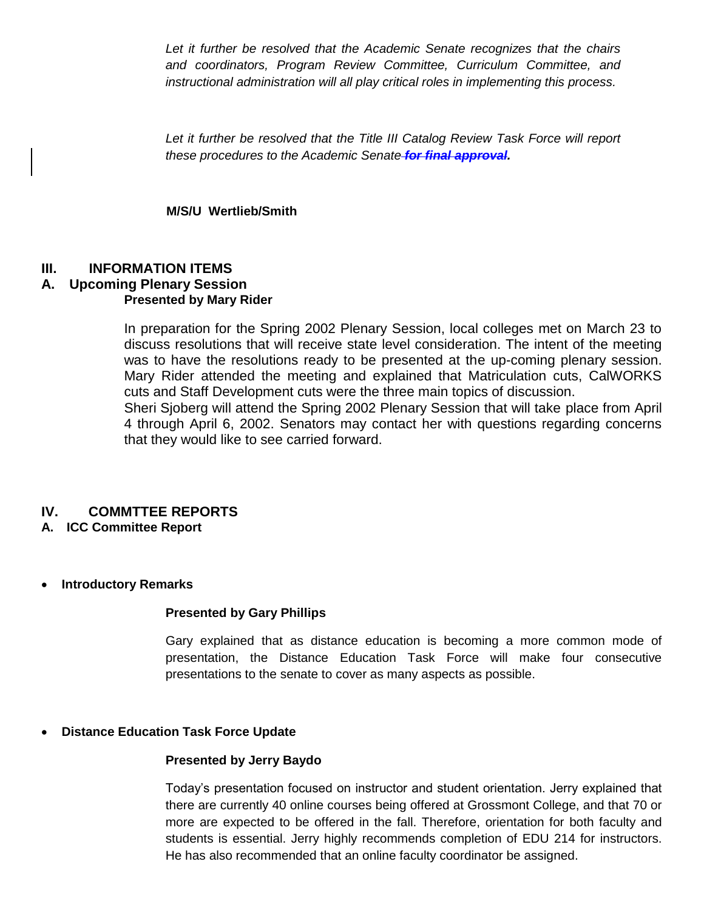Let it further be resolved that the Academic Senate recognizes that the chairs *and coordinators, Program Review Committee, Curriculum Committee, and instructional administration will all play critical roles in implementing this process.*

*Let it further be resolved that the Title III Catalog Review Task Force will report these procedures to the Academic Senate for final approval.*

## **M/S/U Wertlieb/Smith**

# **III. INFORMATION ITEMS**

#### **A. Upcoming Plenary Session Presented by Mary Rider**

In preparation for the Spring 2002 Plenary Session, local colleges met on March 23 to discuss resolutions that will receive state level consideration. The intent of the meeting was to have the resolutions ready to be presented at the up-coming plenary session. Mary Rider attended the meeting and explained that Matriculation cuts, CalWORKS cuts and Staff Development cuts were the three main topics of discussion.

Sheri Sjoberg will attend the Spring 2002 Plenary Session that will take place from April 4 through April 6, 2002. Senators may contact her with questions regarding concerns that they would like to see carried forward.

# **IV. COMMTTEE REPORTS**

### **A. ICC Committee Report**

## **Introductory Remarks**

### **Presented by Gary Phillips**

Gary explained that as distance education is becoming a more common mode of presentation, the Distance Education Task Force will make four consecutive presentations to the senate to cover as many aspects as possible.

### **Distance Education Task Force Update**

### **Presented by Jerry Baydo**

Today's presentation focused on instructor and student orientation. Jerry explained that there are currently 40 online courses being offered at Grossmont College, and that 70 or more are expected to be offered in the fall. Therefore, orientation for both faculty and students is essential. Jerry highly recommends completion of EDU 214 for instructors. He has also recommended that an online faculty coordinator be assigned.